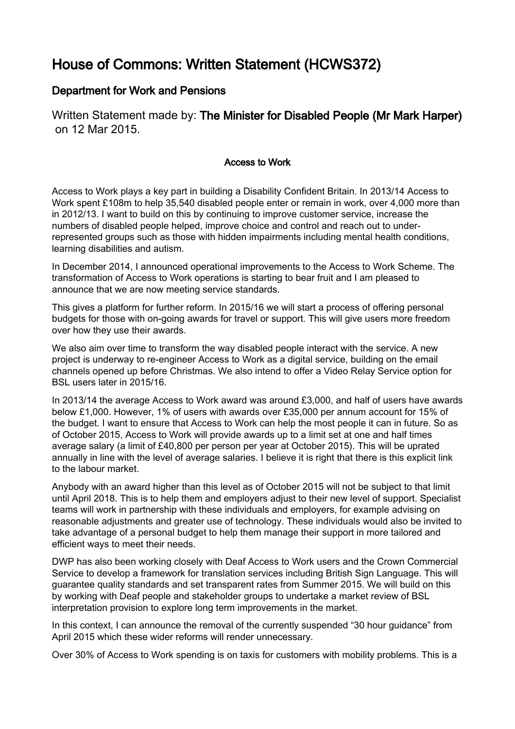## House of Commons: Written Statement (HCWS372)

## Department for Work and Pensions

Written Statement made by: The Minister for Disabled People (Mr Mark Harper) on 12 Mar 2015.

## Access to Work

Access to Work plays a key part in building a Disability Confident Britain. In 2013/14 Access to Work spent £108m to help 35,540 disabled people enter or remain in work, over 4,000 more than in 2012/13. I want to build on this by continuing to improve customer service, increase the numbers of disabled people helped, improve choice and control and reach out to underrepresented groups such as those with hidden impairments including mental health conditions, learning disabilities and autism.

In December 2014, I announced operational improvements to the Access to Work Scheme. The transformation of Access to Work operations is starting to bear fruit and I am pleased to announce that we are now meeting service standards.

This gives a platform for further reform. In 2015/16 we will start a process of offering personal budgets for those with on-going awards for travel or support. This will give users more freedom over how they use their awards.

We also aim over time to transform the way disabled people interact with the service. A new project is underway to re-engineer Access to Work as a digital service, building on the email channels opened up before Christmas. We also intend to offer a Video Relay Service option for BSL users later in 2015/16.

In 2013/14 the average Access to Work award was around £3,000, and half of users have awards below £1,000. However, 1% of users with awards over £35,000 per annum account for 15% of the budget. I want to ensure that Access to Work can help the most people it can in future. So as of October 2015, Access to Work will provide awards up to a limit set at one and half times average salary (a limit of £40,800 per person per year at October 2015). This will be uprated annually in line with the level of average salaries. I believe it is right that there is this explicit link to the labour market.

Anybody with an award higher than this level as of October 2015 will not be subject to that limit until April 2018. This is to help them and employers adjust to their new level of support. Specialist teams will work in partnership with these individuals and employers, for example advising on reasonable adjustments and greater use of technology. These individuals would also be invited to take advantage of a personal budget to help them manage their support in more tailored and efficient ways to meet their needs.

DWP has also been working closely with Deaf Access to Work users and the Crown Commercial Service to develop a framework for translation services including British Sign Language. This will guarantee quality standards and set transparent rates from Summer 2015. We will build on this by working with Deaf people and stakeholder groups to undertake a market review of BSL interpretation provision to explore long term improvements in the market.

In this context, I can announce the removal of the currently suspended "30 hour guidance" from April 2015 which these wider reforms will render unnecessary.

Over 30% of Access to Work spending is on taxis for customers with mobility problems. This is a